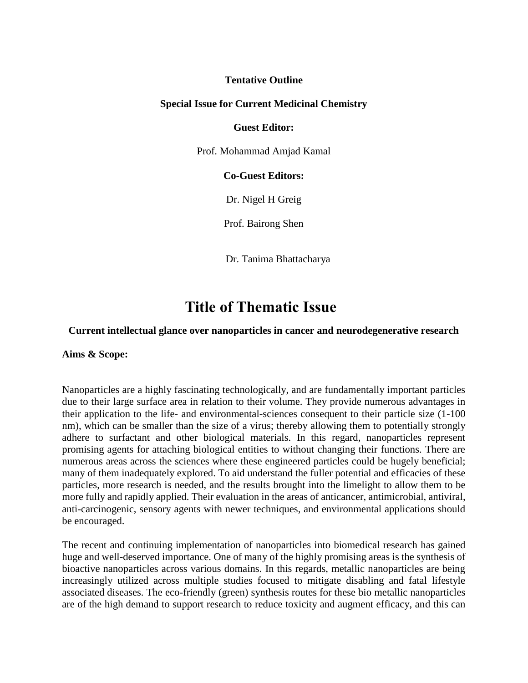## **Tentative Outline**

## **Special Issue for Current Medicinal Chemistry**

#### **Guest Editor:**

Prof. Mohammad Amjad Kamal

## **Co-Guest Editors:**

Dr. [Nigel H Greig](https://na01.safelinks.protection.outlook.com/?url=https%3A%2F%2Fpubmed.ncbi.nlm.nih.gov%2F%3Fterm%3DGreig%2BNH%26cauthor_id%3D28190529&data=04%7C01%7C%7C0f58c92c08fc4e1b4c9108d8dd88e0e6%7C84df9e7fe9f640afb435aaaaaaaaaaaa%7C1%7C0%7C637502927251271686%7CUnknown%7CTWFpbGZsb3d8eyJWIjoiMC4wLjAwMDAiLCJQIjoiV2luMzIiLCJBTiI6Ik1haWwiLCJXVCI6Mn0%3D%7C1000&sdata=9M1JdnTjYvGk3pM%2Bv%2FKD3GOP7r2Ml9khrXffD0i1buc%3D&reserved=0)

Prof. Bairong Shen

Dr. Tanima Bhattacharya

# **Title of Thematic Issue**

#### **Current intellectual glance over nanoparticles in cancer and neurodegenerative research**

**Aims & Scope:** 

Nanoparticles are a highly fascinating technologically, and are fundamentally important particles due to their large surface area in relation to their volume. They provide numerous advantages in their application to the life- and environmental-sciences consequent to their particle size (1-100 nm), which can be smaller than the size of a virus; thereby allowing them to potentially strongly adhere to surfactant and other biological materials. In this regard, nanoparticles represent promising agents for attaching biological entities to without changing their functions. There are numerous areas across the sciences where these engineered particles could be hugely beneficial; many of them inadequately explored. To aid understand the fuller potential and efficacies of these particles, more research is needed, and the results brought into the limelight to allow them to be more fully and rapidly applied. Their evaluation in the areas of anticancer, antimicrobial, antiviral, anti-carcinogenic, sensory agents with newer techniques, and environmental applications should be encouraged.

The recent and continuing implementation of nanoparticles into biomedical research has gained huge and well-deserved importance. One of many of the highly promising areas is the synthesis of bioactive nanoparticles across various domains. In this regards, metallic nanoparticles are being increasingly utilized across multiple studies focused to mitigate disabling and fatal lifestyle associated diseases. The eco-friendly (green) synthesis routes for these bio metallic nanoparticles are of the high demand to support research to reduce toxicity and augment efficacy, and this can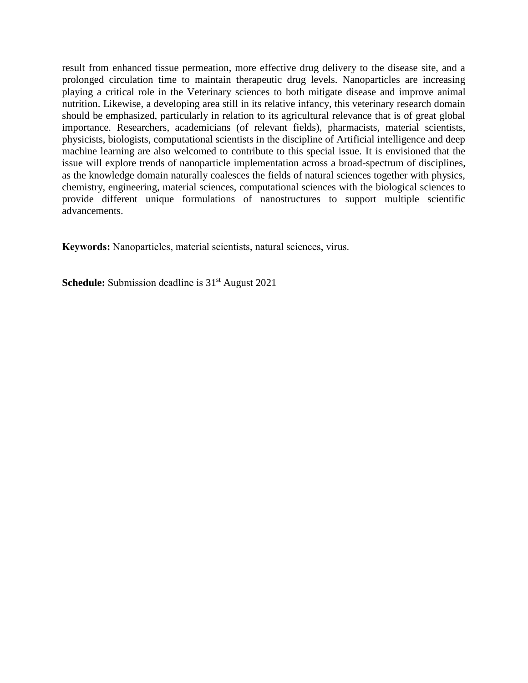result from enhanced tissue permeation, more effective drug delivery to the disease site, and a prolonged circulation time to maintain therapeutic drug levels. Nanoparticles are increasing playing a critical role in the Veterinary sciences to both mitigate disease and improve animal nutrition. Likewise, a developing area still in its relative infancy, this veterinary research domain should be emphasized, particularly in relation to its agricultural relevance that is of great global importance. Researchers, academicians (of relevant fields), pharmacists, material scientists, physicists, biologists, computational scientists in the discipline of Artificial intelligence and deep machine learning are also welcomed to contribute to this special issue. It is envisioned that the issue will explore trends of nanoparticle implementation across a broad-spectrum of disciplines, as the knowledge domain naturally coalesces the fields of natural sciences together with physics, chemistry, engineering, material sciences, computational sciences with the biological sciences to provide different unique formulations of nanostructures to support multiple scientific advancements.

**Keywords:** Nanoparticles, material scientists, natural sciences, virus.

**Schedule:** Submission deadline is 31<sup>st</sup> August 2021